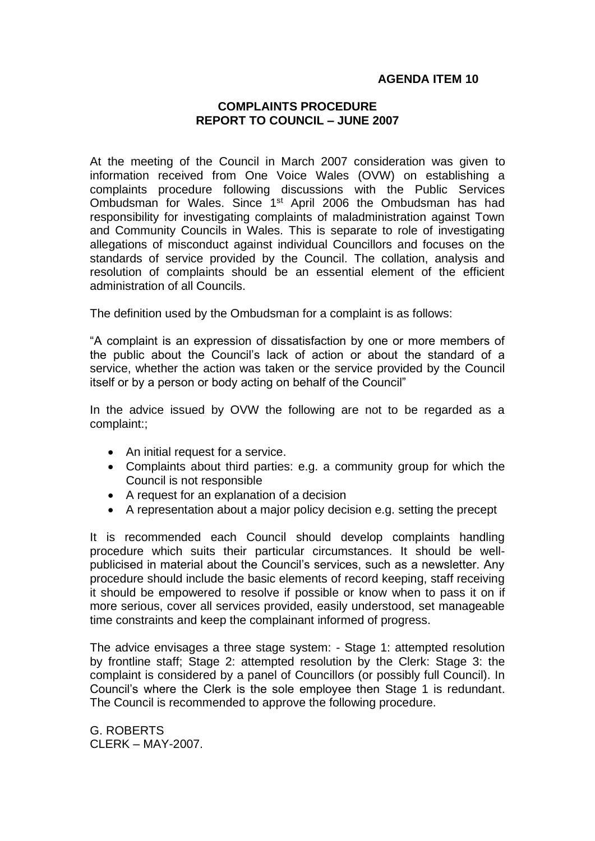## **AGENDA ITEM 10**

## **COMPLAINTS PROCEDURE REPORT TO COUNCIL – JUNE 2007**

At the meeting of the Council in March 2007 consideration was given to information received from One Voice Wales (OVW) on establishing a complaints procedure following discussions with the Public Services Ombudsman for Wales. Since 1st April 2006 the Ombudsman has had responsibility for investigating complaints of maladministration against Town and Community Councils in Wales. This is separate to role of investigating allegations of misconduct against individual Councillors and focuses on the standards of service provided by the Council. The collation, analysis and resolution of complaints should be an essential element of the efficient administration of all Councils.

The definition used by the Ombudsman for a complaint is as follows:

"A complaint is an expression of dissatisfaction by one or more members of the public about the Council's lack of action or about the standard of a service, whether the action was taken or the service provided by the Council itself or by a person or body acting on behalf of the Council"

In the advice issued by OVW the following are not to be regarded as a complaint:;

- An initial request for a service.
- Complaints about third parties: e.g. a community group for which the Council is not responsible
- A request for an explanation of a decision
- A representation about a major policy decision e.g. setting the precept

It is recommended each Council should develop complaints handling procedure which suits their particular circumstances. It should be wellpublicised in material about the Council's services, such as a newsletter. Any procedure should include the basic elements of record keeping, staff receiving it should be empowered to resolve if possible or know when to pass it on if more serious, cover all services provided, easily understood, set manageable time constraints and keep the complainant informed of progress.

The advice envisages a three stage system: - Stage 1: attempted resolution by frontline staff; Stage 2: attempted resolution by the Clerk: Stage 3: the complaint is considered by a panel of Councillors (or possibly full Council). In Council's where the Clerk is the sole employee then Stage 1 is redundant. The Council is recommended to approve the following procedure.

G. ROBERTS CLERK – MAY-2007.